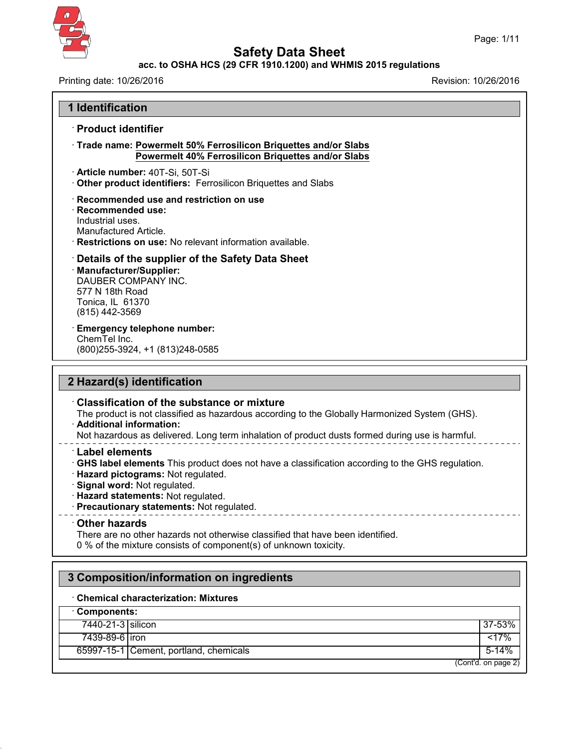

43.0

# **Safety Data Sheet**

## **acc. to OSHA HCS (29 CFR 1910.1200) and WHMIS 2015 regulations**

Printing date: 10/26/2016 **Revision: 10/26/2016** 

| <b>Product identifier</b>                                                                                                                                                                                                                                                          |           |
|------------------------------------------------------------------------------------------------------------------------------------------------------------------------------------------------------------------------------------------------------------------------------------|-----------|
| Trade name: Powermelt 50% Ferrosilicon Briquettes and/or Slabs<br>Powermelt 40% Ferrosilicon Briquettes and/or Slabs                                                                                                                                                               |           |
| · Article number: 40T-Si, 50T-Si<br>Other product identifiers: Ferrosilicon Briquettes and Slabs                                                                                                                                                                                   |           |
| Recommended use and restriction on use<br>· Recommended use:<br>Industrial uses.<br>Manufactured Article.<br>· Restrictions on use: No relevant information available.                                                                                                             |           |
| Details of the supplier of the Safety Data Sheet<br>· Manufacturer/Supplier:<br>DAUBER COMPANY INC.<br>577 N 18th Road<br>Tonica, IL 61370<br>(815) 442-3569                                                                                                                       |           |
| <b>Emergency telephone number:</b><br>ChemTel Inc.<br>(800) 255-3924, +1 (813) 248-0585                                                                                                                                                                                            |           |
| 2 Hazard(s) identification                                                                                                                                                                                                                                                         |           |
| <b>Classification of the substance or mixture</b><br>The product is not classified as hazardous according to the Globally Harmonized System (GHS).<br>· Additional information:<br>Not hazardous as delivered. Long term inhalation of product dusts formed during use is harmful. |           |
| <b>Label elements</b><br>GHS label elements This product does not have a classification according to the GHS regulation.<br>· Hazard pictograms: Not regulated.                                                                                                                    |           |
| · Signal word: Not regulated.<br>· Hazard statements: Not regulated.<br>· Precautionary statements: Not regulated.                                                                                                                                                                 |           |
| ----------------------------------<br>Other hazards<br>There are no other hazards not otherwise classified that have been identified.<br>0 % of the mixture consists of component(s) of unknown toxicity.                                                                          |           |
| 3 Composition/information on ingredients                                                                                                                                                                                                                                           |           |
| <b>Chemical characterization: Mixtures</b>                                                                                                                                                                                                                                         |           |
| Components:                                                                                                                                                                                                                                                                        |           |
| 7440-21-3 silicon                                                                                                                                                                                                                                                                  | 37-53%    |
| 7439-89-6 iron                                                                                                                                                                                                                                                                     | 17%       |
| 65997-15-1 Cement, portland, chemicals                                                                                                                                                                                                                                             | $5 - 14%$ |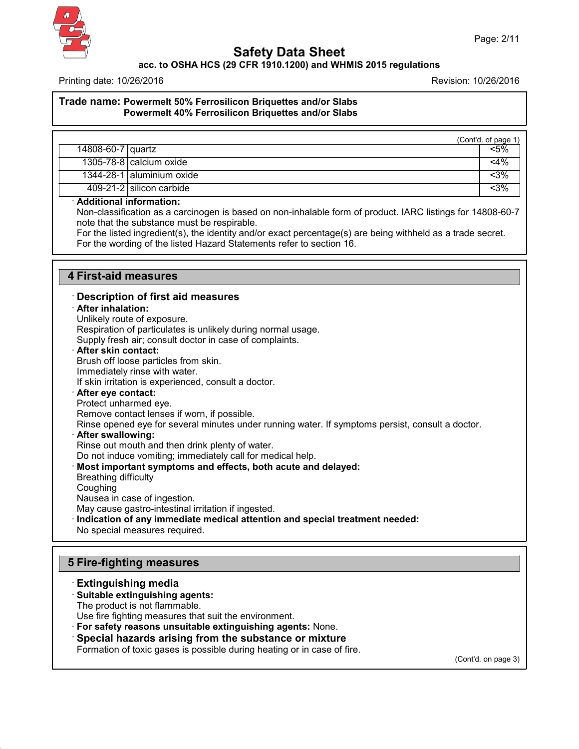

**acc. to OSHA HCS (29 CFR 1910.1200) and WHMIS 2015 regulations**

Printing date: 10/26/2016 Revision: 10/26/2016

### **Trade name: Powermelt 50% Ferrosilicon Briquettes and/or Slabs Powermelt 40% Ferrosilicon Briquettes and/or Slabs**

|                   |                                 | (Cont'd. of page 1) |
|-------------------|---------------------------------|---------------------|
| 14808-60-7 quartz |                                 | <5%                 |
|                   | $1305 - 78 - 8$ calcium oxide   | $<$ 4%              |
|                   | $1344 - 28 - 1$ aluminium oxide | <3%                 |
|                   | 409-21-2 silicon carbide        | <3%                 |

#### · **Additional information:**

Non-classification as a carcinogen is based on non-inhalable form of product. IARC listings for 14808-60-7 note that the substance must be respirable.

For the listed ingredient(s), the identity and/or exact percentage(s) are being withheld as a trade secret. For the wording of the listed Hazard Statements refer to section 16.

### **4 First-aid measures**

### · **Description of first aid measures**

· **After inhalation:**

Unlikely route of exposure.

Respiration of particulates is unlikely during normal usage.

Supply fresh air; consult doctor in case of complaints.

#### · **After skin contact:**

Brush off loose particles from skin.

Immediately rinse with water.

If skin irritation is experienced, consult a doctor.

#### · **After eye contact:**

Protect unharmed eye.

Remove contact lenses if worn, if possible.

Rinse opened eye for several minutes under running water. If symptoms persist, consult a doctor.

#### · **After swallowing:**

Rinse out mouth and then drink plenty of water.

Do not induce vomiting; immediately call for medical help.

#### · **Most important symptoms and effects, both acute and delayed:**

Breathing difficulty

43.0

**Coughing** 

Nausea in case of ingestion.

May cause gastro-intestinal irritation if ingested.

- · **Indication of any immediate medical attention and special treatment needed:**
- No special measures required.

# **5 Fire-fighting measures**

### · **Extinguishing media** · **Suitable extinguishing agents:** The product is not flammable. Use fire fighting measures that suit the environment. · **For safety reasons unsuitable extinguishing agents:** None. · **Special hazards arising from the substance or mixture**

Formation of toxic gases is possible during heating or in case of fire.

(Cont'd. on page 3)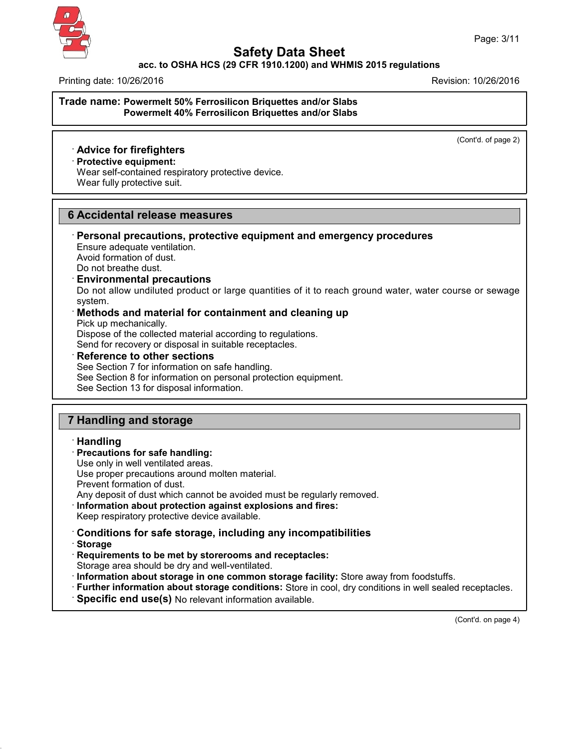

### **acc. to OSHA HCS (29 CFR 1910.1200) and WHMIS 2015 regulations**

Printing date: 10/26/2016 Revision: 10/26/2016

### **Trade name: Powermelt 50% Ferrosilicon Briquettes and/or Slabs Powermelt 40% Ferrosilicon Briquettes and/or Slabs**

(Cont'd. of page 2)

## · **Advice for firefighters**

## · **Protective equipment:**

Wear self-contained respiratory protective device. Wear fully protective suit.

## **6 Accidental release measures**

### · **Personal precautions, protective equipment and emergency procedures** Ensure adequate ventilation.

Avoid formation of dust. Do not breathe dust.

### · **Environmental precautions**

Do not allow undiluted product or large quantities of it to reach ground water, water course or sewage system.

· **Methods and material for containment and cleaning up** Pick up mechanically. Dispose of the collected material according to regulations.

Send for recovery or disposal in suitable receptacles.

### · **Reference to other sections**

See Section 7 for information on safe handling. See Section 8 for information on personal protection equipment. See Section 13 for disposal information.

## **7 Handling and storage**

#### · **Handling**

· **Precautions for safe handling:**

Use only in well ventilated areas.

Use proper precautions around molten material.

Prevent formation of dust.

Any deposit of dust which cannot be avoided must be regularly removed.

· **Information about protection against explosions and fires:**

Keep respiratory protective device available.

## · **Conditions for safe storage, including any incompatibilities**

· **Storage**

43.0

- · **Requirements to be met by storerooms and receptacles:**
- Storage area should be dry and well-ventilated.
- · **Information about storage in one common storage facility:** Store away from foodstuffs.
- · **Further information about storage conditions:** Store in cool, dry conditions in well sealed receptacles.
- · **Specific end use(s)** No relevant information available.

(Cont'd. on page 4)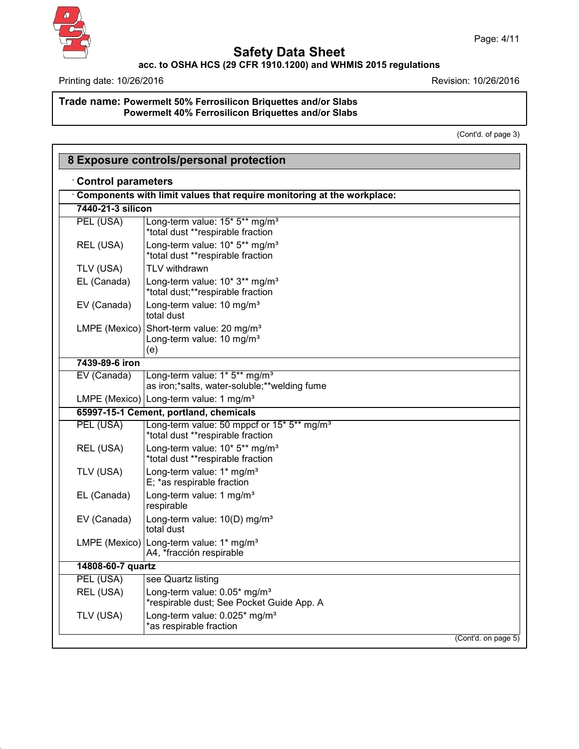

# **Safety Data Sheet**

**acc. to OSHA HCS (29 CFR 1910.1200) and WHMIS 2015 regulations**

Printing date: 10/26/2016 **Revision: 10/26/2016** 

### **Trade name: Powermelt 50% Ferrosilicon Briquettes and/or Slabs Powermelt 40% Ferrosilicon Briquettes and/or Slabs**

(Cont'd. of page 3)

| 8 Exposure controls/personal protection                                                     |                                                                                                      |  |  |  |
|---------------------------------------------------------------------------------------------|------------------------------------------------------------------------------------------------------|--|--|--|
| <b>Control parameters</b>                                                                   |                                                                                                      |  |  |  |
| Components with limit values that require monitoring at the workplace:<br>7440-21-3 silicon |                                                                                                      |  |  |  |
|                                                                                             |                                                                                                      |  |  |  |
| REL (USA)                                                                                   | Long-term value: 10* 5** mg/m <sup>3</sup><br>*total dust **respirable fraction                      |  |  |  |
| TLV (USA)                                                                                   | TLV withdrawn                                                                                        |  |  |  |
| EL (Canada)                                                                                 | Long-term value: 10* 3** mg/m <sup>3</sup><br>*total dust;**respirable fraction                      |  |  |  |
| EV (Canada)                                                                                 | Long-term value: 10 mg/m <sup>3</sup><br>total dust                                                  |  |  |  |
|                                                                                             | LMPE (Mexico) Short-term value: 20 mg/m <sup>3</sup><br>Long-term value: 10 mg/m <sup>3</sup><br>(e) |  |  |  |
| 7439-89-6 iron                                                                              |                                                                                                      |  |  |  |
| EV (Canada)                                                                                 | Long-term value: 1* 5** mg/m <sup>3</sup><br>as iron;*salts, water-soluble;**welding fume            |  |  |  |
|                                                                                             | LMPE (Mexico) Long-term value: 1 mg/m <sup>3</sup>                                                   |  |  |  |
|                                                                                             | 65997-15-1 Cement, portland, chemicals                                                               |  |  |  |
| PEL (USA)                                                                                   | Long-term value: 50 mppcf or 15* 5** mg/m <sup>3</sup><br>*total dust **respirable fraction          |  |  |  |
| REL (USA)                                                                                   | Long-term value: 10* 5** mg/m <sup>3</sup><br>*total dust **respirable fraction                      |  |  |  |
| TLV (USA)                                                                                   | Long-term value: 1* mg/m <sup>3</sup><br>E; *as respirable fraction                                  |  |  |  |
| EL (Canada)                                                                                 | Long-term value: 1 mg/m <sup>3</sup><br>respirable                                                   |  |  |  |
| EV (Canada)                                                                                 | Long-term value: 10(D) mg/m <sup>3</sup><br>total dust                                               |  |  |  |
|                                                                                             | LMPE (Mexico)   Long-term value: 1* mg/m <sup>3</sup><br>A4, *fracción respirable                    |  |  |  |
| 14808-60-7 quartz                                                                           |                                                                                                      |  |  |  |
| PEL (USA)                                                                                   | see Quartz listing                                                                                   |  |  |  |
| REL (USA)                                                                                   | Long-term value: 0.05* mg/m <sup>3</sup><br>*respirable dust; See Pocket Guide App. A                |  |  |  |
| TLV (USA)                                                                                   | Long-term value: 0.025* mg/m <sup>3</sup><br>*as respirable fraction                                 |  |  |  |
|                                                                                             | (Cont'd. on page 5)                                                                                  |  |  |  |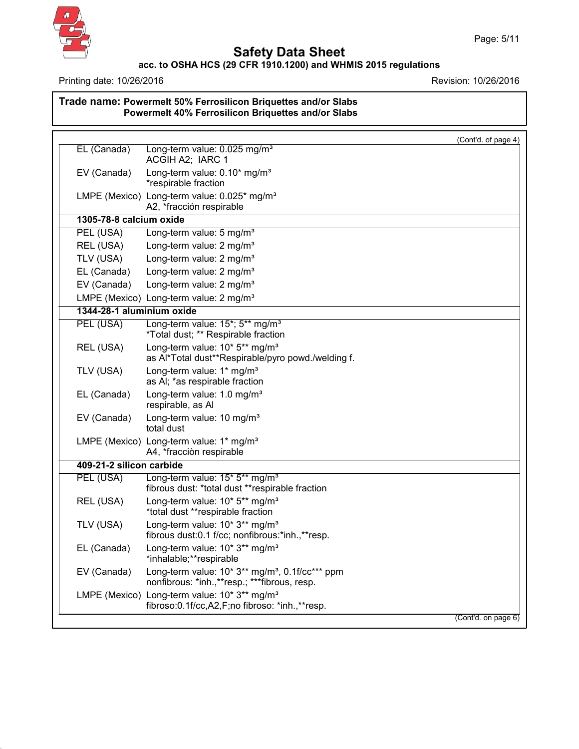

# **Safety Data Sheet**

### **acc. to OSHA HCS (29 CFR 1910.1200) and WHMIS 2015 regulations**

Printing date: 10/26/2016 **Revision: 10/26/2016** 

## **Trade name: Powermelt 50% Ferrosilicon Briquettes and/or Slabs Powermelt 40% Ferrosilicon Briquettes and/or Slabs**

| as Al*Total dust**Respirable/pyro powd./welding f.                                                          |
|-------------------------------------------------------------------------------------------------------------|
|                                                                                                             |
|                                                                                                             |
|                                                                                                             |
|                                                                                                             |
|                                                                                                             |
| fibrous dust: *total dust **respirable fraction                                                             |
|                                                                                                             |
| fibrous dust:0.1 f/cc; nonfibrous:*inh.,**resp.                                                             |
|                                                                                                             |
| Long-term value: 10* 3** mg/m <sup>3</sup> , 0.1f/cc*** ppm<br>nonfibrous: *inh.,**resp.; ***fibrous, resp. |
| fibroso:0.1f/cc,A2,F;no fibroso: *inh.,**resp.                                                              |
|                                                                                                             |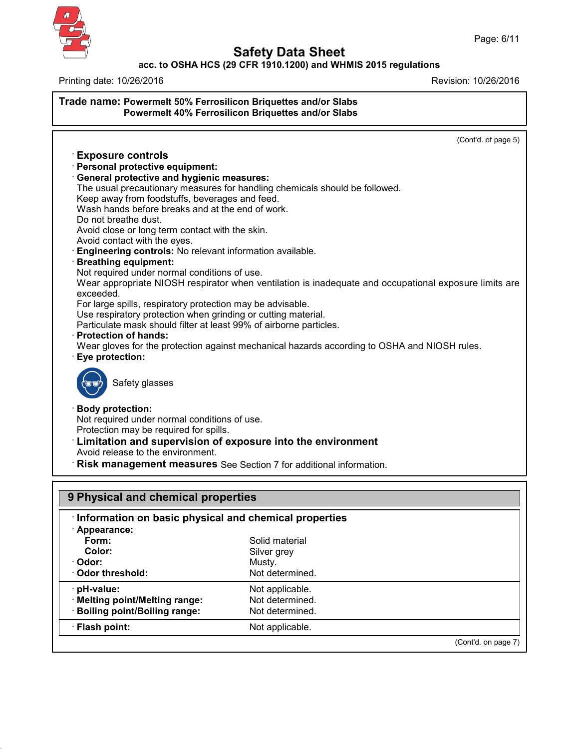

# **Safety Data Sheet**

### **acc. to OSHA HCS (29 CFR 1910.1200) and WHMIS 2015 regulations**

Printing date: 10/26/2016 Revision: 10/26/2016

# **Trade name: Powermelt 50% Ferrosilicon Briquettes and/or Slabs Powermelt 40% Ferrosilicon Briquettes and/or Slabs** (Cont'd. of page 5) · **Exposure controls** · **Personal protective equipment:** · **General protective and hygienic measures:** The usual precautionary measures for handling chemicals should be followed. Keep away from foodstuffs, beverages and feed. Wash hands before breaks and at the end of work. Do not breathe dust. Avoid close or long term contact with the skin. Avoid contact with the eyes. · **Engineering controls:** No relevant information available. · **Breathing equipment:** Not required under normal conditions of use. Wear appropriate NIOSH respirator when ventilation is inadequate and occupational exposure limits are exceeded. For large spills, respiratory protection may be advisable. Use respiratory protection when grinding or cutting material. Particulate mask should filter at least 99% of airborne particles. · **Protection of hands:** Wear gloves for the protection against mechanical hazards according to OSHA and NIOSH rules. · **Eye protection:** Safety glasses · **Body protection:** Not required under normal conditions of use. Protection may be required for spills. · **Limitation and supervision of exposure into the environment** Avoid release to the environment. · **Risk management measures** See Section 7 for additional information. **9 Physical and chemical properties** · **Information on basic physical and chemical properties** · **Appearance:**

| Form:                          | Solid material  |                     |
|--------------------------------|-----------------|---------------------|
| Color:                         | Silver grey     |                     |
| · Odor:                        | Musty.          |                     |
| Odor threshold:                | Not determined. |                     |
| · pH-value:                    | Not applicable. |                     |
| · Melting point/Melting range: | Not determined. |                     |
| · Boiling point/Boiling range: | Not determined. |                     |
| · Flash point:                 | Not applicable. |                     |
|                                |                 | (Cont'd. on page 7) |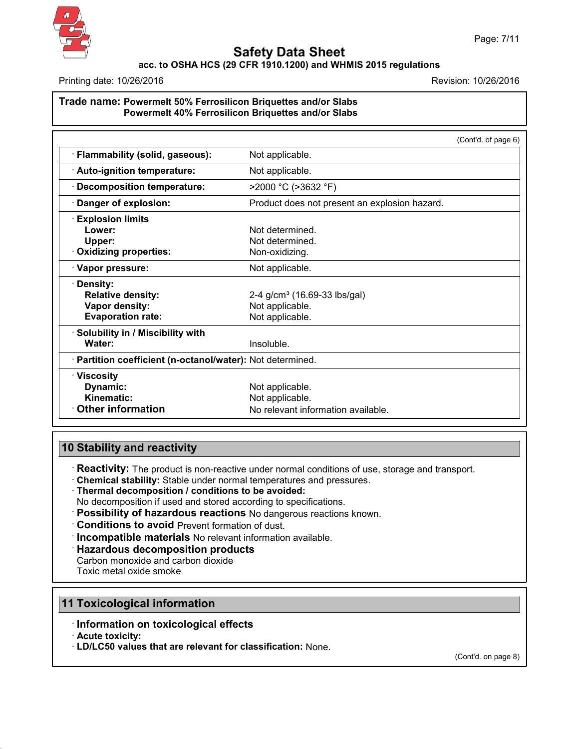

## **acc. to OSHA HCS (29 CFR 1910.1200) and WHMIS 2015 regulations**

Printing date: 10/26/2016 **Revision: 10/26/2016** Revision: 10/26/2016

### **Trade name: Powermelt 50% Ferrosilicon Briquettes and/or Slabs Powermelt 40% Ferrosilicon Briquettes and/or Slabs**

|                                                                 | (Cont'd. of page 6)                           |  |
|-----------------------------------------------------------------|-----------------------------------------------|--|
| Flammability (solid, gaseous):                                  | Not applicable.                               |  |
| · Auto-ignition temperature:<br>Not applicable.                 |                                               |  |
| $>$ 2000 °C ( $>$ 3632 °F)<br><b>Decomposition temperature:</b> |                                               |  |
| Danger of explosion:                                            | Product does not present an explosion hazard. |  |
| <b>Explosion limits</b>                                         |                                               |  |
| Lower:                                                          | Not determined.                               |  |
| Upper:                                                          | Not determined.                               |  |
| <b>Oxidizing properties:</b>                                    | Non-oxidizing.                                |  |
| · Vapor pressure:                                               | Not applicable.                               |  |
| Density:                                                        |                                               |  |
| <b>Relative density:</b>                                        | 2-4 g/cm <sup>3</sup> (16.69-33 lbs/gal)      |  |
| Vapor density:                                                  | Not applicable.                               |  |
| <b>Evaporation rate:</b>                                        | Not applicable.                               |  |
| · Solubility in / Miscibility with                              |                                               |  |
| Water:                                                          | Insoluble.                                    |  |
| · Partition coefficient (n-octanol/water): Not determined.      |                                               |  |
| · Viscosity                                                     |                                               |  |
| Dynamic:                                                        | Not applicable.                               |  |
| Kinematic:                                                      | Not applicable.                               |  |
| <b>Other information</b><br>No relevant information available.  |                                               |  |

# **10 Stability and reactivity**

· **Reactivity:** The product is non-reactive under normal conditions of use, storage and transport.

- · **Chemical stability:** Stable under normal temperatures and pressures.
- · **Thermal decomposition / conditions to be avoided:**
- No decomposition if used and stored according to specifications.
- · **Possibility of hazardous reactions** No dangerous reactions known.
- · **Conditions to avoid** Prevent formation of dust.
- · **Incompatible materials** No relevant information available.
- · **Hazardous decomposition products**
- Carbon monoxide and carbon dioxide

Toxic metal oxide smoke

# **11 Toxicological information**

- · **Information on toxicological effects**
- · **Acute toxicity:**

43.0

· **LD/LC50 values that are relevant for classification:** None.

(Cont'd. on page 8)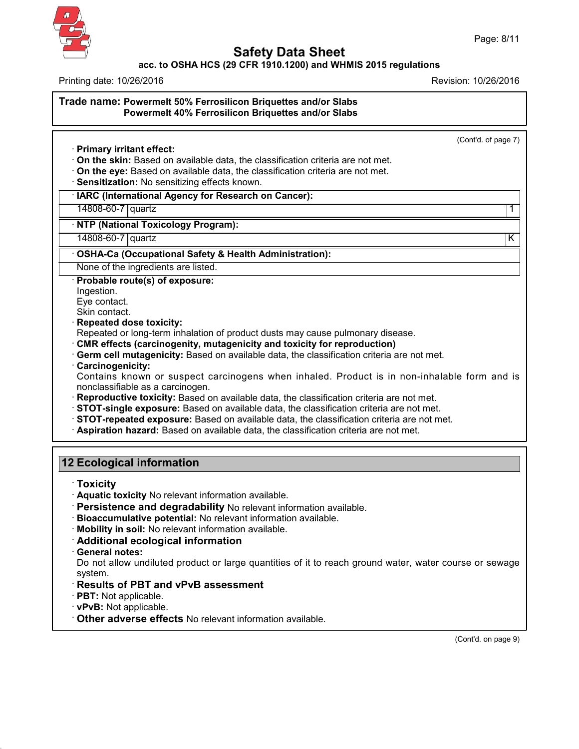

# **Safety Data Sheet**

### **acc. to OSHA HCS (29 CFR 1910.1200) and WHMIS 2015 regulations**

Page: 8/11

Printing date: 10/26/2016 Revision: 10/26/2016

**Trade name: Powermelt 50% Ferrosilicon Briquettes and/or Slabs Powermelt 40% Ferrosilicon Briquettes and/or Slabs** (Cont'd. of page 7) · **Primary irritant effect:** · **On the skin:** Based on available data, the classification criteria are not met. · **On the eye:** Based on available data, the classification criteria are not met. · **Sensitization:** No sensitizing effects known. · **IARC (International Agency for Research on Cancer):** 14808-60-7 quartz 1 · **NTP (National Toxicology Program):** 14808-60-7 quartz K · **OSHA-Ca (Occupational Safety & Health Administration):** None of the ingredients are listed. · **Probable route(s) of exposure:** Ingestion. Eye contact. Skin contact. · **Repeated dose toxicity:** Repeated or long-term inhalation of product dusts may cause pulmonary disease. · **CMR effects (carcinogenity, mutagenicity and toxicity for reproduction)** · **Germ cell mutagenicity:** Based on available data, the classification criteria are not met. · **Carcinogenicity:** Contains known or suspect carcinogens when inhaled. Product is in non-inhalable form and is nonclassifiable as a carcinogen. · **Reproductive toxicity:** Based on available data, the classification criteria are not met. · **STOT-single exposure:** Based on available data, the classification criteria are not met. · **STOT-repeated exposure:** Based on available data, the classification criteria are not met. · **Aspiration hazard:** Based on available data, the classification criteria are not met. **12 Ecological information** · **Toxicity** · **Aquatic toxicity** No relevant information available. · **Persistence and degradability** No relevant information available. · **Bioaccumulative potential:** No relevant information available. · **Mobility in soil:** No relevant information available. · **Additional ecological information** · **General notes:** Do not allow undiluted product or large quantities of it to reach ground water, water course or sewage system. · **Results of PBT and vPvB assessment** · **PBT:** Not applicable. · **vPvB:** Not applicable. · **Other adverse effects** No relevant information available.

(Cont'd. on page 9)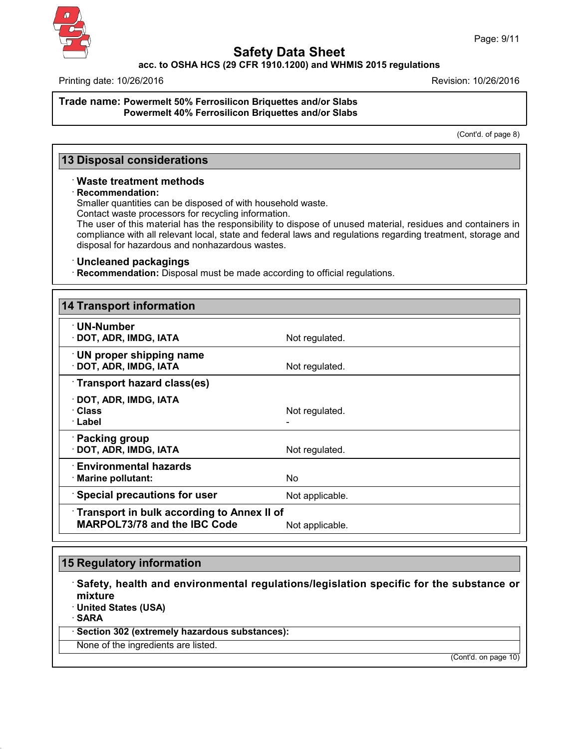

### **acc. to OSHA HCS (29 CFR 1910.1200) and WHMIS 2015 regulations**

Printing date: 10/26/2016 Revision: 10/26/2016

#### **Trade name: Powermelt 50% Ferrosilicon Briquettes and/or Slabs Powermelt 40% Ferrosilicon Briquettes and/or Slabs**

(Cont'd. of page 8)

## **13 Disposal considerations**

### · **Waste treatment methods**

#### · **Recommendation:**

Smaller quantities can be disposed of with household waste.

Contact waste processors for recycling information.

The user of this material has the responsibility to dispose of unused material, residues and containers in compliance with all relevant local, state and federal laws and regulations regarding treatment, storage and disposal for hazardous and nonhazardous wastes.

### · **Uncleaned packagings**

· **Recommendation:** Disposal must be made according to official regulations.

| <b>14 Transport information</b>                                                          |                 |  |
|------------------------------------------------------------------------------------------|-----------------|--|
| $\cdot$ UN-Number<br>· DOT, ADR, IMDG, IATA                                              | Not regulated.  |  |
| <b>UN proper shipping name</b><br>· DOT, ADR, IMDG, IATA                                 | Not regulated.  |  |
| Transport hazard class(es)                                                               |                 |  |
| $\cdot$ DOT, ADR, IMDG, IATA<br>· Class<br>· Label                                       | Not regulated.  |  |
| · Packing group<br>· DOT, ADR, IMDG, IATA                                                | Not regulated.  |  |
| $\cdot$ Environmental hazards<br>· Marine pollutant:                                     | No.             |  |
| <b>Special precautions for user</b>                                                      | Not applicable. |  |
| <b>Transport in bulk according to Annex II of</b><br><b>MARPOL73/78 and the IBC Code</b> | Not applicable. |  |

## **15 Regulatory information**

· **Safety, health and environmental regulations/legislation specific for the substance or mixture** · **United States (USA)**

· **SARA**

43.0

· **Section 302 (extremely hazardous substances):**

None of the ingredients are listed.

(Cont'd. on page 10)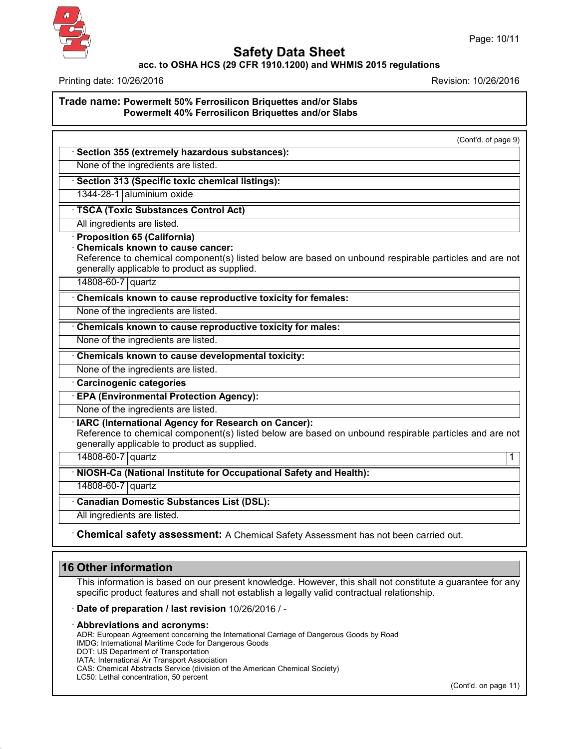

### **acc. to OSHA HCS (29 CFR 1910.1200) and WHMIS 2015 regulations**

Printing date: 10/26/2016 Revision: 10/26/2016

**Trade name: Powermelt 50% Ferrosilicon Briquettes and/or Slabs Powermelt 40% Ferrosilicon Briquettes and/or Slabs**

(Cont'd. of page 9)

# · **Section 355 (extremely hazardous substances):**

None of the ingredients are listed.

· **Section 313 (Specific toxic chemical listings):**

1344-28-1 aluminium oxide

· **TSCA (Toxic Substances Control Act)**

All ingredients are listed.

· **Proposition 65 (California)**

· **Chemicals known to cause cancer:**

Reference to chemical component(s) listed below are based on unbound respirable particles and are not generally applicable to product as supplied.

14808-60-7 quartz

· **Chemicals known to cause reproductive toxicity for females:**

None of the ingredients are listed.

### · **Chemicals known to cause reproductive toxicity for males:**

None of the ingredients are listed.

· **Chemicals known to cause developmental toxicity:**

None of the ingredients are listed.

· **Carcinogenic categories**

· **EPA (Environmental Protection Agency):**

None of the ingredients are listed.

· **IARC (International Agency for Research on Cancer):**

Reference to chemical component(s) listed below are based on unbound respirable particles and are not generally applicable to product as supplied.

14808-60-7 quartz 1

· **NIOSH-Ca (National Institute for Occupational Safety and Health):**

14808-60-7 quartz

· **Canadian Domestic Substances List (DSL):**

All ingredients are listed.

· **Chemical safety assessment:** A Chemical Safety Assessment has notbeen carried out.

# **16 Other information**

43.0

This information is based on our present knowledge. However, this shall not constitute a guarantee for any specific product features and shall not establish a legally valid contractual relationship.

· **Date of preparation / last revision** 10/26/2016 / -

#### · **Abbreviations and acronyms:**

ADR: European Agreement concerning the International Carriage of Dangerous Goods by Road IMDG: International Maritime Code for Dangerous Goods DOT: US Department of Transportation IATA: International Air Transport Association CAS: Chemical Abstracts Service (division of the American Chemical Society) LC50: Lethal concentration, 50 percent

(Cont'd. on page 11)